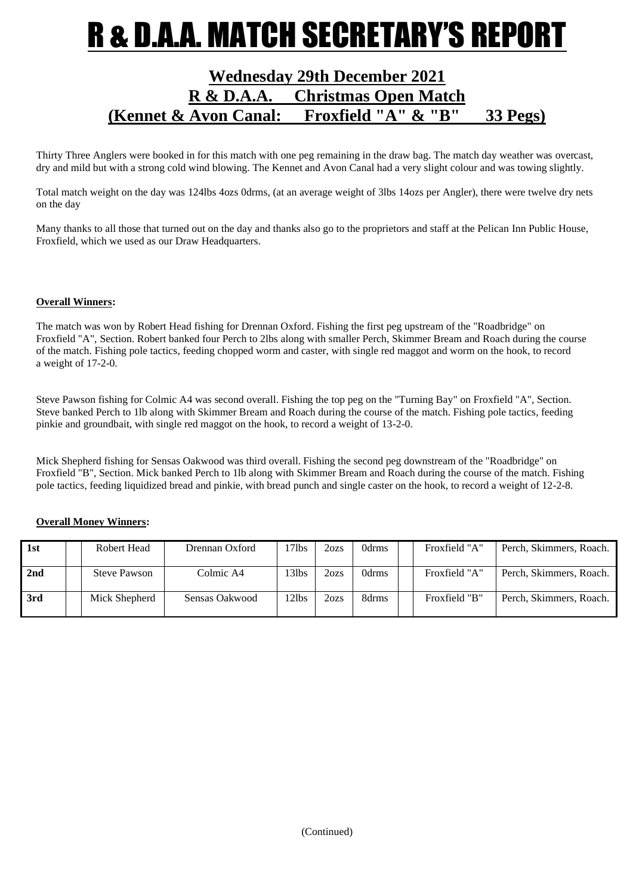## R & D.A.A. MATCH SECRETARY'S REPOR

### **Wednesday 29th December 2021 R & D.A.A. Christmas Open Match (Kennet & Avon Canal: Froxfield "A" & "B" 33 Pegs)**

Thirty Three Anglers were booked in for this match with one peg remaining in the draw bag. The match day weather was overcast, dry and mild but with a strong cold wind blowing. The Kennet and Avon Canal had a very slight colour and was towing slightly.

Total match weight on the day was 124lbs 4ozs 0drms, (at an average weight of 3lbs 14ozs per Angler), there were twelve dry nets on the day

Many thanks to all those that turned out on the day and thanks also go to the proprietors and staff at the Pelican Inn Public House, Froxfield, which we used as our Draw Headquarters.

#### **Overall Winners:**

The match was won by Robert Head fishing for Drennan Oxford. Fishing the first peg upstream of the "Roadbridge" on Froxfield "A", Section. Robert banked four Perch to 2lbs along with smaller Perch, Skimmer Bream and Roach during the course of the match. Fishing pole tactics, feeding chopped worm and caster, with single red maggot and worm on the hook, to record a weight of 17-2-0.

Steve Pawson fishing for Colmic A4 was second overall. Fishing the top peg on the "Turning Bay" on Froxfield "A", Section. Steve banked Perch to 1lb along with Skimmer Bream and Roach during the course of the match. Fishing pole tactics, feeding pinkie and groundbait, with single red maggot on the hook, to record a weight of 13-2-0.

Mick Shepherd fishing for Sensas Oakwood was third overall. Fishing the second peg downstream of the "Roadbridge" on Froxfield "B", Section. Mick banked Perch to 1lb along with Skimmer Bream and Roach during the course of the match. Fishing pole tactics, feeding liquidized bread and pinkie, with bread punch and single caster on the hook, to record a weight of 12-2-8.

#### **Overall Money Winners:**

| 1st | Robert Head         | Drennan Oxford | l 71bs | 2ozs | 0drms             | Froxfield "A" | Perch, Skimmers, Roach. |
|-----|---------------------|----------------|--------|------|-------------------|---------------|-------------------------|
| 2nd | <b>Steve Pawson</b> | Colmic A4      | 13lbs  | 2ozs | 0drms             | Froxfield "A" | Perch, Skimmers, Roach. |
| 3rd | Mick Shepherd       | Sensas Oakwood | l 21bs | 2ozs | 8 <sub>drms</sub> | Froxfield "B" | Perch, Skimmers, Roach. |